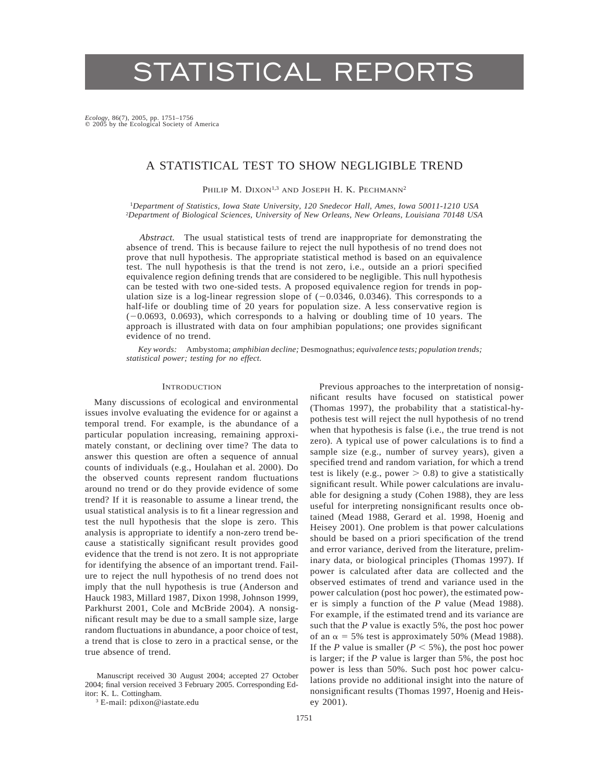# STATISTICAL REPORTS

*Ecology,* 86(7), 2005, pp. 1751–1756  $\circ$  2005 by the Ecological Society of America

# A STATISTICAL TEST TO SHOW NEGLIGIBLE TREND

PHILIP M. DIXON<sup>1,3</sup> AND JOSEPH H. K. PECHMANN<sup>2</sup>

<sup>1</sup>*Department of Statistics, Iowa State University, 120 Snedecor Hall, Ames, Iowa 50011-1210 USA* 2 *Department of Biological Sciences, University of New Orleans, New Orleans, Louisiana 70148 USA*

*Abstract.* The usual statistical tests of trend are inappropriate for demonstrating the absence of trend. This is because failure to reject the null hypothesis of no trend does not prove that null hypothesis. The appropriate statistical method is based on an equivalence test. The null hypothesis is that the trend is not zero, i.e., outside an a priori specified equivalence region defining trends that are considered to be negligible. This null hypothesis can be tested with two one-sided tests. A proposed equivalence region for trends in population size is a log-linear regression slope of  $(-0.0346, 0.0346)$ . This corresponds to a half-life or doubling time of 20 years for population size. A less conservative region is  $(-0.0693, 0.0693)$ , which corresponds to a halving or doubling time of 10 years. The approach is illustrated with data on four amphibian populations; one provides significant evidence of no trend.

*Key words:* Ambystoma; *amphibian decline;* Desmognathus; *equivalence tests; population trends; statistical power; testing for no effect.*

## **INTRODUCTION**

Many discussions of ecological and environmental issues involve evaluating the evidence for or against a temporal trend. For example, is the abundance of a particular population increasing, remaining approximately constant, or declining over time? The data to answer this question are often a sequence of annual counts of individuals (e.g., Houlahan et al. 2000). Do the observed counts represent random fluctuations around no trend or do they provide evidence of some trend? If it is reasonable to assume a linear trend, the usual statistical analysis is to fit a linear regression and test the null hypothesis that the slope is zero. This analysis is appropriate to identify a non-zero trend because a statistically significant result provides good evidence that the trend is not zero. It is not appropriate for identifying the absence of an important trend. Failure to reject the null hypothesis of no trend does not imply that the null hypothesis is true (Anderson and Hauck 1983, Millard 1987, Dixon 1998, Johnson 1999, Parkhurst 2001, Cole and McBride 2004). A nonsignificant result may be due to a small sample size, large random fluctuations in abundance, a poor choice of test, a trend that is close to zero in a practical sense, or the true absence of trend.

Manuscript received 30 August 2004; accepted 27 October 2004; final version received 3 February 2005. Corresponding Editor: K. L. Cottingham.

<sup>3</sup> E-mail: pdixon@iastate.edu

Previous approaches to the interpretation of nonsignificant results have focused on statistical power (Thomas 1997), the probability that a statistical-hypothesis test will reject the null hypothesis of no trend when that hypothesis is false (i.e., the true trend is not zero). A typical use of power calculations is to find a sample size (e.g., number of survey years), given a specified trend and random variation, for which a trend test is likely (e.g., power  $> 0.8$ ) to give a statistically significant result. While power calculations are invaluable for designing a study (Cohen 1988), they are less useful for interpreting nonsignificant results once obtained (Mead 1988, Gerard et al. 1998, Hoenig and Heisey 2001). One problem is that power calculations should be based on a priori specification of the trend and error variance, derived from the literature, preliminary data, or biological principles (Thomas 1997). If power is calculated after data are collected and the observed estimates of trend and variance used in the power calculation (post hoc power), the estimated power is simply a function of the *P* value (Mead 1988). For example, if the estimated trend and its variance are such that the *P* value is exactly 5%, the post hoc power of an  $\alpha$  = 5% test is approximately 50% (Mead 1988). If the *P* value is smaller ( $P < 5\%$ ), the post hoc power is larger; if the *P* value is larger than 5%, the post hoc power is less than 50%. Such post hoc power calculations provide no additional insight into the nature of nonsignificant results (Thomas 1997, Hoenig and Heisey 2001).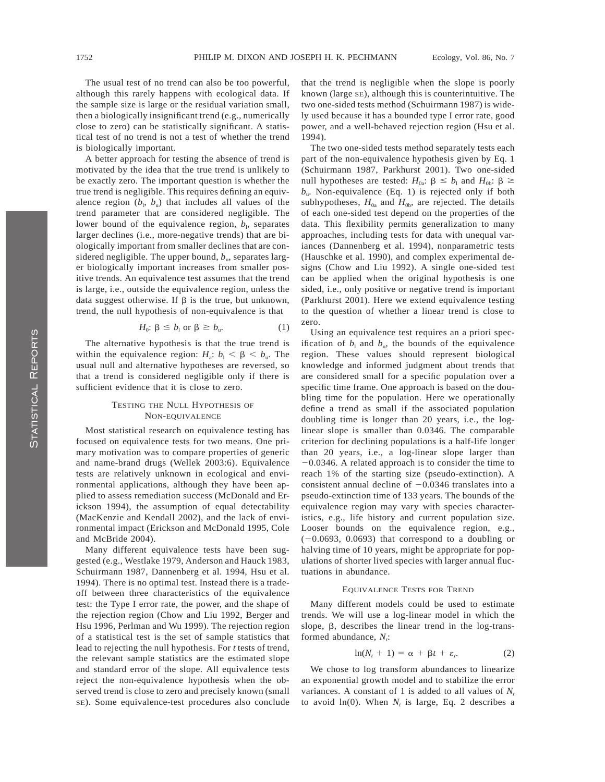The usual test of no trend can also be too powerful, although this rarely happens with ecological data. If the sample size is large or the residual variation small, then a biologically insignificant trend (e.g., numerically close to zero) can be statistically significant. A statistical test of no trend is not a test of whether the trend is biologically important.

A better approach for testing the absence of trend is motivated by the idea that the true trend is unlikely to be exactly zero. The important question is whether the true trend is negligible. This requires defining an equivalence region  $(b_1, b_0)$  that includes all values of the trend parameter that are considered negligible. The lower bound of the equivalence region,  $b<sub>1</sub>$ , separates larger declines (i.e., more-negative trends) that are biologically important from smaller declines that are considered negligible. The upper bound,  $b<sub>u</sub>$ , separates larger biologically important increases from smaller positive trends. An equivalence test assumes that the trend is large, i.e., outside the equivalence region, unless the data suggest otherwise. If  $\beta$  is the true, but unknown, trend, the null hypothesis of non-equivalence is that

$$
H_0: \beta \le b_1 \text{ or } \beta \ge b_u. \tag{1}
$$

The alternative hypothesis is that the true trend is within the equivalence region:  $H_a$ :  $b_1 < \beta < b_n$ . The usual null and alternative hypotheses are reversed, so that a trend is considered negligible only if there is sufficient evidence that it is close to zero.

# TESTING THE NULL HYPOTHESIS OF NON-EQUIVALENCE

Most statistical research on equivalence testing has focused on equivalence tests for two means. One primary motivation was to compare properties of generic and name-brand drugs (Wellek 2003:6). Equivalence tests are relatively unknown in ecological and environmental applications, although they have been applied to assess remediation success (McDonald and Erickson 1994), the assumption of equal detectability (MacKenzie and Kendall 2002), and the lack of environmental impact (Erickson and McDonald 1995, Cole and McBride 2004).

Many different equivalence tests have been suggested (e.g., Westlake 1979, Anderson and Hauck 1983, Schuirmann 1987, Dannenberg et al. 1994, Hsu et al. 1994). There is no optimal test. Instead there is a tradeoff between three characteristics of the equivalence test: the Type I error rate, the power, and the shape of the rejection region (Chow and Liu 1992, Berger and Hsu 1996, Perlman and Wu 1999). The rejection region of a statistical test is the set of sample statistics that lead to rejecting the null hypothesis. For *t* tests of trend, the relevant sample statistics are the estimated slope and standard error of the slope. All equivalence tests reject the non-equivalence hypothesis when the observed trend is close to zero and precisely known (small SE). Some equivalence-test procedures also conclude that the trend is negligible when the slope is poorly known (large SE), although this is counterintuitive. The two one-sided tests method (Schuirmann 1987) is widely used because it has a bounded type I error rate, good power, and a well-behaved rejection region (Hsu et al. 1994).

The two one-sided tests method separately tests each part of the non-equivalence hypothesis given by Eq. 1 (Schuirmann 1987, Parkhurst 2001). Two one-sided null hypotheses are tested:  $H_{0a}$ :  $\beta \leq b_1$  and  $H_{0b}$ :  $\beta \geq$  $b_{\rm u}$ . Non-equivalence (Eq. 1) is rejected only if both subhypotheses,  $H_{0a}$  and  $H_{0b}$ , are rejected. The details of each one-sided test depend on the properties of the data. This flexibility permits generalization to many approaches, including tests for data with unequal variances (Dannenberg et al. 1994), nonparametric tests (Hauschke et al. 1990), and complex experimental designs (Chow and Liu 1992). A single one-sided test can be applied when the original hypothesis is one sided, i.e., only positive or negative trend is important (Parkhurst 2001). Here we extend equivalence testing to the question of whether a linear trend is close to zero.

Using an equivalence test requires an a priori specification of  $b_1$  and  $b_0$ , the bounds of the equivalence region. These values should represent biological knowledge and informed judgment about trends that are considered small for a specific population over a specific time frame. One approach is based on the doubling time for the population. Here we operationally define a trend as small if the associated population doubling time is longer than 20 years, i.e., the loglinear slope is smaller than 0.0346. The comparable criterion for declining populations is a half-life longer than 20 years, i.e., a log-linear slope larger than  $-0.0346$ . A related approach is to consider the time to reach 1% of the starting size (pseudo-extinction). A consistent annual decline of  $-0.0346$  translates into a pseudo-extinction time of 133 years. The bounds of the equivalence region may vary with species characteristics, e.g., life history and current population size. Looser bounds on the equivalence region, e.g.,  $(-0.0693, 0.0693)$  that correspond to a doubling or halving time of 10 years, might be appropriate for populations of shorter lived species with larger annual fluctuations in abundance.

#### EQUIVALENCE TESTS FOR TREND

Many different models could be used to estimate trends. We will use a log-linear model in which the slope,  $\beta$ , describes the linear trend in the log-transformed abundance,  $N_i$ :

$$
\ln(N_t + 1) = \alpha + \beta t + \varepsilon_t. \tag{2}
$$

We chose to log transform abundances to linearize an exponential growth model and to stabilize the error variances. A constant of 1 is added to all values of  $N_t$ to avoid  $ln(0)$ . When  $N_t$  is large, Eq. 2 describes a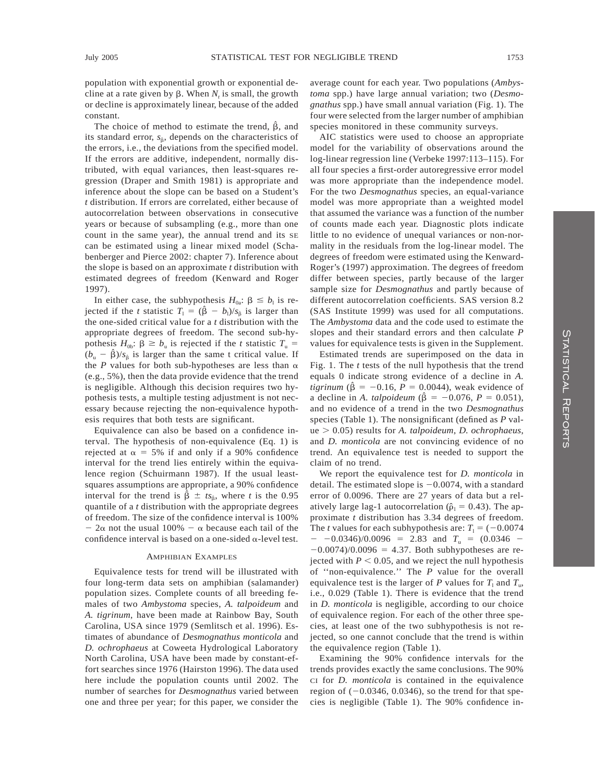population with exponential growth or exponential decline at a rate given by  $\beta$ . When  $N_t$  is small, the growth or decline is approximately linear, because of the added constant.

The choice of method to estimate the trend,  $\beta$ , and its standard error,  $s_{\hat{\theta}}$ , depends on the characteristics of the errors, i.e., the deviations from the specified model. If the errors are additive, independent, normally distributed, with equal variances, then least-squares regression (Draper and Smith 1981) is appropriate and inference about the slope can be based on a Student's *t* distribution. If errors are correlated, either because of autocorrelation between observations in consecutive years or because of subsampling (e.g., more than one count in the same year), the annual trend and its SE can be estimated using a linear mixed model (Schabenberger and Pierce 2002: chapter 7). Inference about the slope is based on an approximate *t* distribution with estimated degrees of freedom (Kenward and Roger 1997).

In either case, the subhypothesis  $H_{0a}$ :  $\beta \leq b_1$  is rejected if the *t* statistic  $T_1 = (\hat{\beta} - b_1)/s_{\hat{\beta}}$  is larger than the one-sided critical value for a *t* distribution with the appropriate degrees of freedom. The second sub-hypothesis  $H_{0b}$ :  $\beta \ge b_{u}$  is rejected if the *t* statistic  $T_{u}$  =  $(b_{u} - \hat{\beta})/s_{\hat{\beta}}$  is larger than the same t critical value. If the *P* values for both sub-hypotheses are less than  $\alpha$ (e.g., 5%), then the data provide evidence that the trend is negligible. Although this decision requires two hypothesis tests, a multiple testing adjustment is not necessary because rejecting the non-equivalence hypothesis requires that both tests are significant.

Equivalence can also be based on a confidence interval. The hypothesis of non-equivalence (Eq. 1) is rejected at  $\alpha = 5\%$  if and only if a 90% confidence interval for the trend lies entirely within the equivalence region (Schuirmann 1987). If the usual leastsquares assumptions are appropriate, a 90% confidence interval for the trend is  $\hat{\beta} \pm ts_{\hat{\beta}}$ , where *t* is the 0.95 quantile of a *t* distribution with the appropriate degrees of freedom. The size of the confidence interval is 100%  $-2\alpha$  not the usual 100%  $-\alpha$  because each tail of the confidence interval is based on a one-sided  $\alpha$ -level test.

#### AMPHIBIAN EXAMPLES

Equivalence tests for trend will be illustrated with four long-term data sets on amphibian (salamander) population sizes. Complete counts of all breeding females of two *Ambystoma* species, *A. talpoideum* and *A. tigrinum*, have been made at Rainbow Bay, South Carolina, USA since 1979 (Semlitsch et al. 1996). Estimates of abundance of *Desmognathus monticola* and *D. ochrophaeus* at Coweeta Hydrological Laboratory North Carolina, USA have been made by constant-effort searches since 1976 (Hairston 1996). The data used here include the population counts until 2002. The number of searches for *Desmognathus* varied between one and three per year; for this paper, we consider the average count for each year. Two populations (*Ambystoma* spp.) have large annual variation; two (*Desmognathus* spp.) have small annual variation (Fig. 1). The four were selected from the larger number of amphibian species monitored in these community surveys.

AIC statistics were used to choose an appropriate model for the variability of observations around the log-linear regression line (Verbeke 1997:113–115). For all four species a first-order autoregressive error model was more appropriate than the independence model. For the two *Desmognathus* species, an equal-variance model was more appropriate than a weighted model that assumed the variance was a function of the number of counts made each year. Diagnostic plots indicate little to no evidence of unequal variances or non-normality in the residuals from the log-linear model. The degrees of freedom were estimated using the Kenward-Roger's (1997) approximation. The degrees of freedom differ between species, partly because of the larger sample size for *Desmognathus* and partly because of different autocorrelation coefficients. SAS version 8.2 (SAS Institute 1999) was used for all computations. The *Ambystoma* data and the code used to estimate the slopes and their standard errors and then calculate *P* values for equivalence tests is given in the Supplement.

Estimated trends are superimposed on the data in Fig. 1. The *t* tests of the null hypothesis that the trend equals 0 indicate strong evidence of a decline in *A. tigrinum* ( $\beta = -0.16$ ,  $P = 0.0044$ ), weak evidence of a decline in *A. talpoideum* ( $\hat{\beta} = -0.076$ ,  $P = 0.051$ ), and no evidence of a trend in the two *Desmognathus* species (Table 1). The nonsignificant (defined as *P* value . 0.05) results for *A. talpoideum*, *D. ochrophaeus*, and *D. monticola* are not convincing evidence of no trend. An equivalence test is needed to support the claim of no trend.

We report the equivalence test for *D. monticola* in detail. The estimated slope is  $-0.0074$ , with a standard error of 0.0096. There are 27 years of data but a relatively large lag-1 autocorrelation ( $\hat{\rho}_1 = 0.43$ ). The approximate *t* distribution has 3.34 degrees of freedom. The *t* values for each subhypothesis are:  $T_1 = (-0.0074)$  $-$  -0.0346)/0.0096 = 2.83 and  $T<sub>u</sub>$  = (0.0346 - $-0.0074/0.0096 = 4.37$ . Both subhypotheses are rejected with  $P < 0.05$ , and we reject the null hypothesis of ''non-equivalence.'' The *P* value for the overall equivalence test is the larger of *P* values for  $T_1$  and  $T_u$ , i.e., 0.029 (Table 1). There is evidence that the trend in *D. monticola* is negligible, according to our choice of equivalence region. For each of the other three species, at least one of the two subhypothesis is not rejected, so one cannot conclude that the trend is within the equivalence region (Table 1).

Examining the 90% confidence intervals for the trends provides exactly the same conclusions. The 90% CI for *D. monticola* is contained in the equivalence region of  $(-0.0346, 0.0346)$ , so the trend for that species is negligible (Table 1). The 90% confidence in-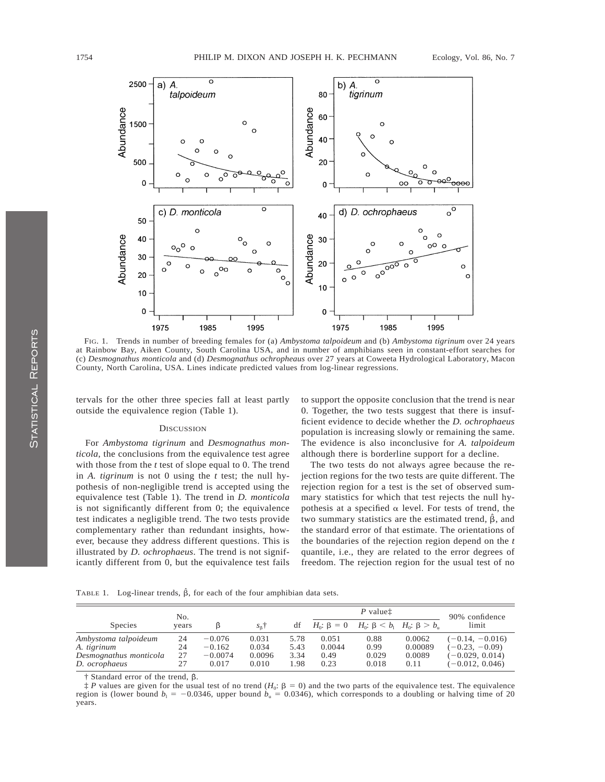

FIG. 1. Trends in number of breeding females for (a) *Ambystoma talpoideum* and (b) *Ambystoma tigrinum* over 24 years at Rainbow Bay, Aiken County, South Carolina USA, and in number of amphibians seen in constant-effort searches for (c) *Desmognathus monticola* and (d) *Desmognathus ochropheaus* over 27 years at Coweeta Hydrological Laboratory, Macon County, North Carolina, USA. Lines indicate predicted values from log-linear regressions.

tervals for the other three species fall at least partly outside the equivalence region (Table 1).

### **DISCUSSION**

For *Ambystoma tigrinum* and *Desmognathus monticola*, the conclusions from the equivalence test agree with those from the *t* test of slope equal to 0. The trend in *A. tigrinum* is not 0 using the *t* test; the null hypothesis of non-negligible trend is accepted using the equivalence test (Table 1). The trend in *D. monticola* is not significantly different from 0; the equivalence test indicates a negligible trend. The two tests provide complementary rather than redundant insights, however, because they address different questions. This is illustrated by *D. ochrophaeus*. The trend is not significantly different from 0, but the equivalence test fails to support the opposite conclusion that the trend is near 0. Together, the two tests suggest that there is insufficient evidence to decide whether the *D. ochrophaeus* population is increasing slowly or remaining the same. The evidence is also inconclusive for *A. talpoideum* although there is borderline support for a decline.

The two tests do not always agree because the rejection regions for the two tests are quite different. The rejection region for a test is the set of observed summary statistics for which that test rejects the null hypothesis at a specified  $\alpha$  level. For tests of trend, the two summary statistics are the estimated trend,  $\hat{\beta}$ , and the standard error of that estimate. The orientations of the boundaries of the rejection region depend on the *t* quantile, i.e., they are related to the error degrees of freedom. The rejection region for the usual test of no

TABLE 1. Log-linear trends,  $\hat{\beta}$ , for each of the four amphibian data sets.

| No.                                                                            |                      |                                            |                                   |                              | P valuet                        |                                |                                       | 90% confidence                                                                  |
|--------------------------------------------------------------------------------|----------------------|--------------------------------------------|-----------------------------------|------------------------------|---------------------------------|--------------------------------|---------------------------------------|---------------------------------------------------------------------------------|
| <b>Species</b>                                                                 | vears                | ß                                          | $S_{\rm B}$ <sup>†</sup>          | df                           | $H_0: \beta = 0$                |                                | $H_0: \beta < b_1$ $H_0: \beta > b_n$ | limit                                                                           |
| Ambystoma talpoideum<br>A. tigrinum<br>Desmognathus monticola<br>D. ocrophaeus | 24<br>24<br>27<br>27 | $-0.076$<br>$-0.162$<br>$-0.0074$<br>0.017 | 0.031<br>0.034<br>0.0096<br>0.010 | 5.78<br>5.43<br>3.34<br>1.98 | 0.051<br>0.0044<br>0.49<br>0.23 | 0.88<br>0.99<br>0.029<br>0.018 | 0.0062<br>0.00089<br>0.0089<br>0.11   | $(-0.14, -0.016)$<br>$(-0.23, -0.09)$<br>$(-0.029, 0.014)$<br>$(-0.012, 0.046)$ |

 $\dagger$  Standard error of the trend,  $\beta$ .

 $\frac{1}{k}$  *P* values are given for the usual test of no trend  $(H_0: \beta = 0)$  and the two parts of the equivalence test. The equivalence region is (lower bound  $b_1 = -0.0346$ , upper bound  $b_0 = 0.0346$ ), which corresponds to a doubling or halving time of 20 years.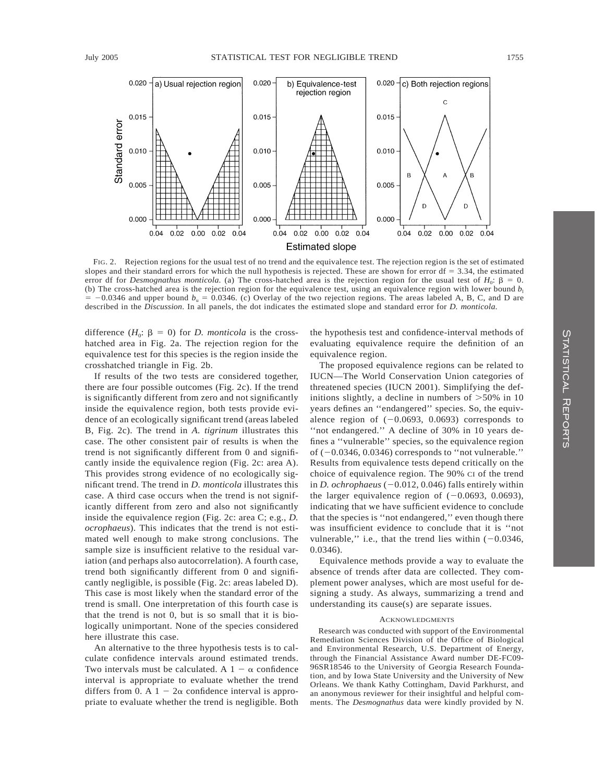

FIG. 2. Rejection regions for the usual test of no trend and the equivalence test. The rejection region is the set of estimated slopes and their standard errors for which the null hypothesis is rejected. These are shown for error  $df = 3.34$ , the estimated error df for *Desmognathus monticola*. (a) The cross-hatched area is the rejection region for the usual test of  $H_0$ :  $\beta = 0$ . (b) The cross-hatched area is the rejection region for the equivalence test, using an equivalence region with lower bound  $b_1$  $-0.0346$  and upper bound  $b<sub>u</sub> = 0.0346$ . (c) Overlay of the two rejection regions. The areas labeled A, B, C, and D are described in the *Discussion*. In all panels, the dot indicates the estimated slope and standard error for *D. monticola*.

difference  $(H_0: \beta = 0)$  for *D. monticola* is the crosshatched area in Fig. 2a. The rejection region for the equivalence test for this species is the region inside the crosshatched triangle in Fig. 2b.

If results of the two tests are considered together, there are four possible outcomes (Fig. 2c). If the trend is significantly different from zero and not significantly inside the equivalence region, both tests provide evidence of an ecologically significant trend (areas labeled B, Fig. 2c). The trend in *A. tigrinum* illustrates this case. The other consistent pair of results is when the trend is not significantly different from 0 and significantly inside the equivalence region (Fig. 2c: area A). This provides strong evidence of no ecologically significant trend. The trend in *D. monticola* illustrates this case. A third case occurs when the trend is not significantly different from zero and also not significantly inside the equivalence region (Fig. 2c: area C; e.g., *D. ocrophaeus*). This indicates that the trend is not estimated well enough to make strong conclusions. The sample size is insufficient relative to the residual variation (and perhaps also autocorrelation). A fourth case, trend both significantly different from 0 and significantly negligible, is possible (Fig. 2c: areas labeled D). This case is most likely when the standard error of the trend is small. One interpretation of this fourth case is that the trend is not 0, but is so small that it is biologically unimportant. None of the species considered here illustrate this case.

An alternative to the three hypothesis tests is to calculate confidence intervals around estimated trends. Two intervals must be calculated. A  $1 - \alpha$  confidence interval is appropriate to evaluate whether the trend differs from 0. A  $1 - 2\alpha$  confidence interval is appropriate to evaluate whether the trend is negligible. Both

the hypothesis test and confidence-interval methods of evaluating equivalence require the definition of an equivalence region.

The proposed equivalence regions can be related to IUCN—The World Conservation Union categories of threatened species (IUCN 2001). Simplifying the definitions slightly, a decline in numbers of  $>50\%$  in 10 years defines an ''endangered'' species. So, the equivalence region of  $(-0.0693, 0.0693)$  corresponds to ''not endangered.'' A decline of 30% in 10 years defines a ''vulnerable'' species, so the equivalence region of  $(-0.0346, 0.0346)$  corresponds to "not vulnerable." Results from equivalence tests depend critically on the choice of equivalence region. The 90% CI of the trend in *D. ochrophaeus*  $(-0.012, 0.046)$  falls entirely within the larger equivalence region of  $(-0.0693, 0.0693)$ , indicating that we have sufficient evidence to conclude that the species is ''not endangered,'' even though there was insufficient evidence to conclude that it is ''not vulnerable," i.e., that the trend lies within  $(-0.0346,$ 0.0346).

Equivalence methods provide a way to evaluate the absence of trends after data are collected. They complement power analyses, which are most useful for designing a study. As always, summarizing a trend and understanding its cause(s) are separate issues.

#### ACKNOWLEDGMENTS

Research was conducted with support of the Environmental Remediation Sciences Division of the Office of Biological and Environmental Research, U.S. Department of Energy, through the Financial Assistance Award number DE-FC09- 96SR18546 to the University of Georgia Research Foundation, and by Iowa State University and the University of New Orleans. We thank Kathy Cottingham, David Parkhurst, and an anonymous reviewer for their insightful and helpful comments. The *Desmognathus* data were kindly provided by N.